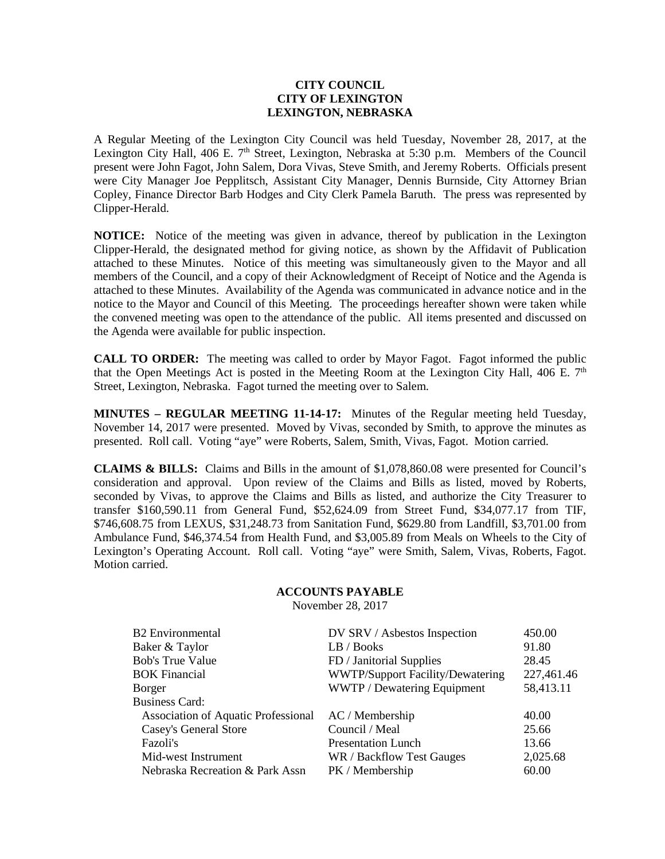## **CITY COUNCIL CITY OF LEXINGTON LEXINGTON, NEBRASKA**

A Regular Meeting of the Lexington City Council was held Tuesday, November 28, 2017, at the Lexington City Hall, 406 E.  $7<sup>th</sup>$  Street, Lexington, Nebraska at 5:30 p.m. Members of the Council present were John Fagot, John Salem, Dora Vivas, Steve Smith, and Jeremy Roberts. Officials present were City Manager Joe Pepplitsch, Assistant City Manager, Dennis Burnside, City Attorney Brian Copley, Finance Director Barb Hodges and City Clerk Pamela Baruth. The press was represented by Clipper-Herald.

**NOTICE:** Notice of the meeting was given in advance, thereof by publication in the Lexington Clipper-Herald, the designated method for giving notice, as shown by the Affidavit of Publication attached to these Minutes. Notice of this meeting was simultaneously given to the Mayor and all members of the Council, and a copy of their Acknowledgment of Receipt of Notice and the Agenda is attached to these Minutes. Availability of the Agenda was communicated in advance notice and in the notice to the Mayor and Council of this Meeting. The proceedings hereafter shown were taken while the convened meeting was open to the attendance of the public. All items presented and discussed on the Agenda were available for public inspection.

**CALL TO ORDER:** The meeting was called to order by Mayor Fagot. Fagot informed the public that the Open Meetings Act is posted in the Meeting Room at the Lexington City Hall, 406 E.  $7<sup>th</sup>$ Street, Lexington, Nebraska. Fagot turned the meeting over to Salem.

**MINUTES – REGULAR MEETING 11-14-17:** Minutes of the Regular meeting held Tuesday, November 14, 2017 were presented. Moved by Vivas, seconded by Smith, to approve the minutes as presented. Roll call. Voting "aye" were Roberts, Salem, Smith, Vivas, Fagot. Motion carried.

**CLAIMS & BILLS:** Claims and Bills in the amount of \$1,078,860.08 were presented for Council's consideration and approval. Upon review of the Claims and Bills as listed, moved by Roberts, seconded by Vivas, to approve the Claims and Bills as listed, and authorize the City Treasurer to transfer \$160,590.11 from General Fund, \$52,624.09 from Street Fund, \$34,077.17 from TIF, \$746,608.75 from LEXUS, \$31,248.73 from Sanitation Fund, \$629.80 from Landfill, \$3,701.00 from Ambulance Fund, \$46,374.54 from Health Fund, and \$3,005.89 from Meals on Wheels to the City of Lexington's Operating Account. Roll call. Voting "aye" were Smith, Salem, Vivas, Roberts, Fagot. Motion carried.

## **ACCOUNTS PAYABLE**

November 28, 2017

| <b>B2</b> Environmental             | DV SRV / Asbestos Inspection            | 450.00     |
|-------------------------------------|-----------------------------------------|------------|
|                                     |                                         |            |
| Baker & Taylor                      | LB / Books                              | 91.80      |
| <b>Bob's True Value</b>             | FD / Janitorial Supplies                | 28.45      |
| <b>BOK Financial</b>                | <b>WWTP/Support Facility/Dewatering</b> | 227,461.46 |
| Borger                              | WWTP / Dewatering Equipment             | 58,413.11  |
| <b>Business Card:</b>               |                                         |            |
| Association of Aquatic Professional | AC / Membership                         | 40.00      |
| Casey's General Store               | Council / Meal                          | 25.66      |
| Fazoli's                            | <b>Presentation Lunch</b>               | 13.66      |
| Mid-west Instrument                 | WR / Backflow Test Gauges               | 2,025.68   |
| Nebraska Recreation & Park Assn     | PK / Membership                         | 60.00      |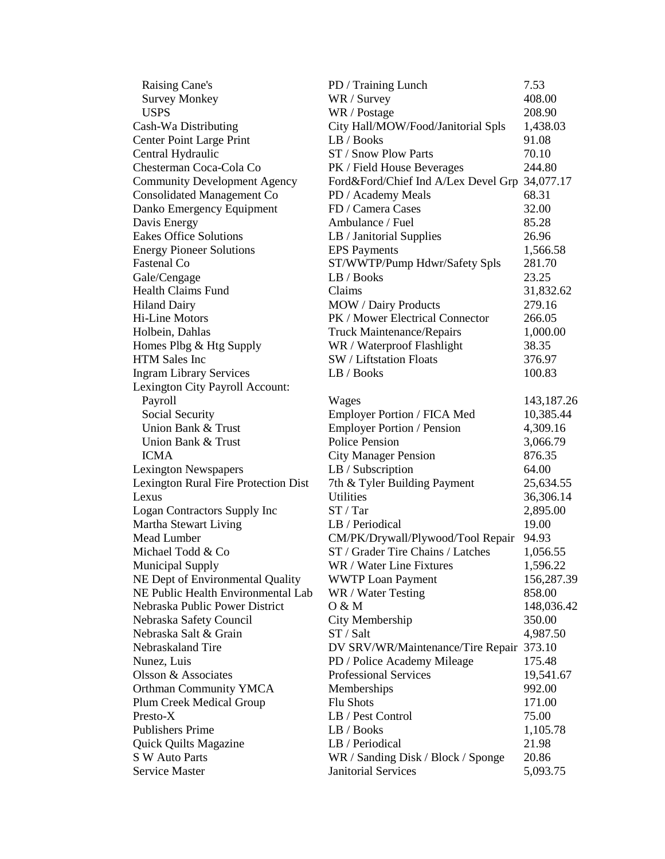| Raising Cane's                       | PD / Training Lunch                           | 7.53         |
|--------------------------------------|-----------------------------------------------|--------------|
| <b>Survey Monkey</b>                 | WR / Survey                                   | 408.00       |
| <b>USPS</b>                          | WR / Postage                                  | 208.90       |
| Cash-Wa Distributing                 | City Hall/MOW/Food/Janitorial Spls            | 1,438.03     |
| <b>Center Point Large Print</b>      | LB/Books                                      | 91.08        |
| Central Hydraulic                    | ST / Snow Plow Parts                          | 70.10        |
| Chesterman Coca-Cola Co              | PK / Field House Beverages                    | 244.80       |
| <b>Community Development Agency</b>  | Ford&Ford/Chief Ind A/Lex Devel Grp 34,077.17 |              |
| <b>Consolidated Management Co</b>    | PD / Academy Meals                            | 68.31        |
| Danko Emergency Equipment            | FD / Camera Cases                             | 32.00        |
| Davis Energy                         | Ambulance / Fuel                              | 85.28        |
| <b>Eakes Office Solutions</b>        | LB / Janitorial Supplies                      | 26.96        |
| <b>Energy Pioneer Solutions</b>      | <b>EPS</b> Payments                           | 1,566.58     |
| <b>Fastenal Co</b>                   | ST/WWTP/Pump Hdwr/Safety Spls                 | 281.70       |
| Gale/Cengage                         | LB / Books                                    | 23.25        |
| <b>Health Claims Fund</b>            | Claims                                        | 31,832.62    |
| <b>Hiland Dairy</b>                  | MOW / Dairy Products                          | 279.16       |
| <b>Hi-Line Motors</b>                | PK / Mower Electrical Connector               | 266.05       |
| Holbein, Dahlas                      | <b>Truck Maintenance/Repairs</b>              | 1,000.00     |
| Homes Plbg & Htg Supply              | WR / Waterproof Flashlight                    | 38.35        |
| <b>HTM</b> Sales Inc                 | SW / Liftstation Floats                       | 376.97       |
| <b>Ingram Library Services</b>       | LB / Books                                    | 100.83       |
| Lexington City Payroll Account:      |                                               |              |
| Payroll                              | Wages                                         | 143, 187. 26 |
| Social Security                      | Employer Portion / FICA Med                   | 10,385.44    |
| Union Bank & Trust                   | <b>Employer Portion / Pension</b>             | 4,309.16     |
| Union Bank & Trust                   | <b>Police Pension</b>                         | 3,066.79     |
| <b>ICMA</b>                          | <b>City Manager Pension</b>                   | 876.35       |
| <b>Lexington Newspapers</b>          | LB / Subscription                             | 64.00        |
| Lexington Rural Fire Protection Dist | 7th & Tyler Building Payment                  | 25,634.55    |
| Lexus                                | <b>Utilities</b>                              | 36,306.14    |
| Logan Contractors Supply Inc         | ST / Tar                                      | 2,895.00     |
| Martha Stewart Living                | LB / Periodical                               | 19.00        |
| <b>Mead Lumber</b>                   | CM/PK/Drywall/Plywood/Tool Repair             | 94.93        |
| Michael Todd & Co                    | ST / Grader Tire Chains / Latches             | 1,056.55     |
| <b>Municipal Supply</b>              | WR / Water Line Fixtures                      | 1,596.22     |
| NE Dept of Environmental Quality     | <b>WWTP Loan Payment</b>                      | 156,287.39   |
| NE Public Health Environmental Lab   | WR / Water Testing                            | 858.00       |
| Nebraska Public Power District       | 0 & M                                         | 148,036.42   |
| Nebraska Safety Council              | City Membership                               | 350.00       |
| Nebraska Salt & Grain                | ST / Salt                                     | 4,987.50     |
| Nebraskaland Tire                    | DV SRV/WR/Maintenance/Tire Repair             | 373.10       |
| Nunez, Luis                          | PD / Police Academy Mileage                   | 175.48       |
| Olsson & Associates                  | Professional Services                         | 19,541.67    |
| <b>Orthman Community YMCA</b>        | Memberships                                   | 992.00       |
| Plum Creek Medical Group             | <b>Flu Shots</b>                              | 171.00       |
| Presto-X                             | LB / Pest Control                             | 75.00        |
| <b>Publishers Prime</b>              | LB / Books                                    | 1,105.78     |
| <b>Quick Quilts Magazine</b>         | LB / Periodical                               | 21.98        |
| <b>S W Auto Parts</b>                | WR / Sanding Disk / Block / Sponge            | 20.86        |
| Service Master                       | <b>Janitorial Services</b>                    | 5,093.75     |
|                                      |                                               |              |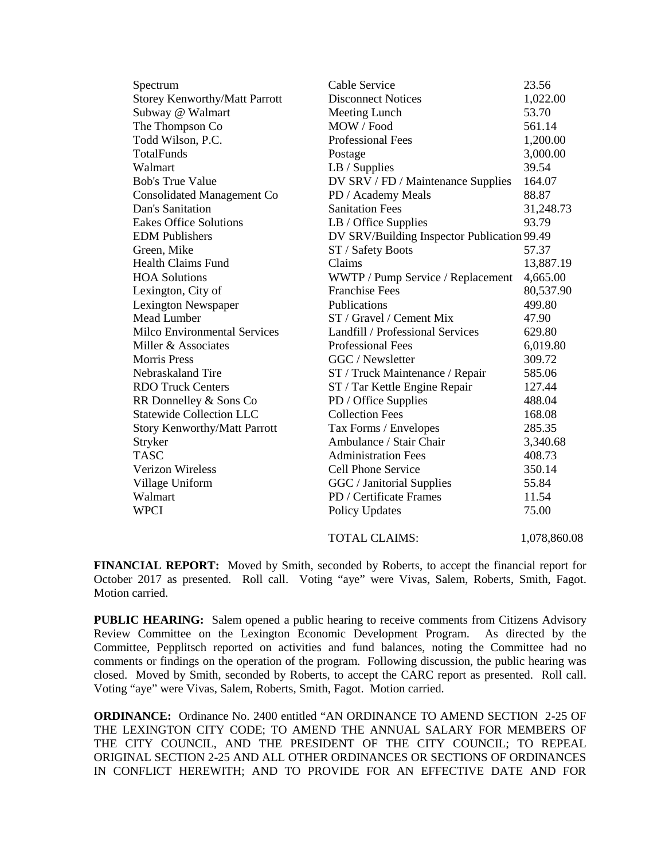| Spectrum                             | Cable Service                               | 23.56        |
|--------------------------------------|---------------------------------------------|--------------|
| <b>Storey Kenworthy/Matt Parrott</b> | <b>Disconnect Notices</b>                   | 1,022.00     |
| Subway @ Walmart                     | Meeting Lunch                               | 53.70        |
| The Thompson Co                      | MOW / Food                                  | 561.14       |
| Todd Wilson, P.C.                    | <b>Professional Fees</b>                    | 1,200.00     |
| TotalFunds                           | Postage                                     | 3,000.00     |
| Walmart                              | $LB /$ Supplies                             | 39.54        |
| <b>Bob's True Value</b>              | DV SRV / FD / Maintenance Supplies          | 164.07       |
| <b>Consolidated Management Co</b>    | PD / Academy Meals                          | 88.87        |
| Dan's Sanitation                     | <b>Sanitation Fees</b>                      | 31,248.73    |
| <b>Eakes Office Solutions</b>        | LB / Office Supplies                        | 93.79        |
| <b>EDM</b> Publishers                | DV SRV/Building Inspector Publication 99.49 |              |
| Green, Mike                          | ST / Safety Boots                           | 57.37        |
| Health Claims Fund                   | Claims                                      | 13,887.19    |
| <b>HOA Solutions</b>                 | WWTP / Pump Service / Replacement           | 4,665.00     |
| Lexington, City of                   | <b>Franchise Fees</b>                       | 80,537.90    |
| Lexington Newspaper                  | Publications                                | 499.80       |
| <b>Mead Lumber</b>                   | ST / Gravel / Cement Mix                    | 47.90        |
| <b>Milco Environmental Services</b>  | Landfill / Professional Services            | 629.80       |
| Miller & Associates                  | <b>Professional Fees</b>                    | 6,019.80     |
| <b>Morris Press</b>                  | GGC / Newsletter                            | 309.72       |
| Nebraskaland Tire                    | ST / Truck Maintenance / Repair             | 585.06       |
| <b>RDO Truck Centers</b>             | ST / Tar Kettle Engine Repair               | 127.44       |
| RR Donnelley & Sons Co               | PD / Office Supplies                        | 488.04       |
| <b>Statewide Collection LLC</b>      | <b>Collection Fees</b>                      | 168.08       |
| <b>Story Kenworthy/Matt Parrott</b>  | Tax Forms / Envelopes                       | 285.35       |
| Stryker                              | Ambulance / Stair Chair                     | 3,340.68     |
| <b>TASC</b>                          | <b>Administration Fees</b>                  | 408.73       |
| <b>Verizon Wireless</b>              | Cell Phone Service                          | 350.14       |
| Village Uniform                      | GGC / Janitorial Supplies                   | 55.84        |
| Walmart                              | PD / Certificate Frames                     | 11.54        |
| <b>WPCI</b>                          | <b>Policy Updates</b>                       | 75.00        |
|                                      | <b>TOTAL CLAIMS:</b>                        | 1,078,860.08 |

**FINANCIAL REPORT:** Moved by Smith, seconded by Roberts, to accept the financial report for October 2017 as presented. Roll call. Voting "aye" were Vivas, Salem, Roberts, Smith, Fagot. Motion carried.

**PUBLIC HEARING:** Salem opened a public hearing to receive comments from Citizens Advisory Review Committee on the Lexington Economic Development Program. As directed by the Committee, Pepplitsch reported on activities and fund balances, noting the Committee had no comments or findings on the operation of the program. Following discussion, the public hearing was closed. Moved by Smith, seconded by Roberts, to accept the CARC report as presented. Roll call. Voting "aye" were Vivas, Salem, Roberts, Smith, Fagot. Motion carried.

**ORDINANCE:** Ordinance No. 2400 entitled "AN ORDINANCE TO AMEND SECTION 2-25 OF THE LEXINGTON CITY CODE; TO AMEND THE ANNUAL SALARY FOR MEMBERS OF THE CITY COUNCIL, AND THE PRESIDENT OF THE CITY COUNCIL; TO REPEAL ORIGINAL SECTION 2-25 AND ALL OTHER ORDINANCES OR SECTIONS OF ORDINANCES IN CONFLICT HEREWITH; AND TO PROVIDE FOR AN EFFECTIVE DATE AND FOR